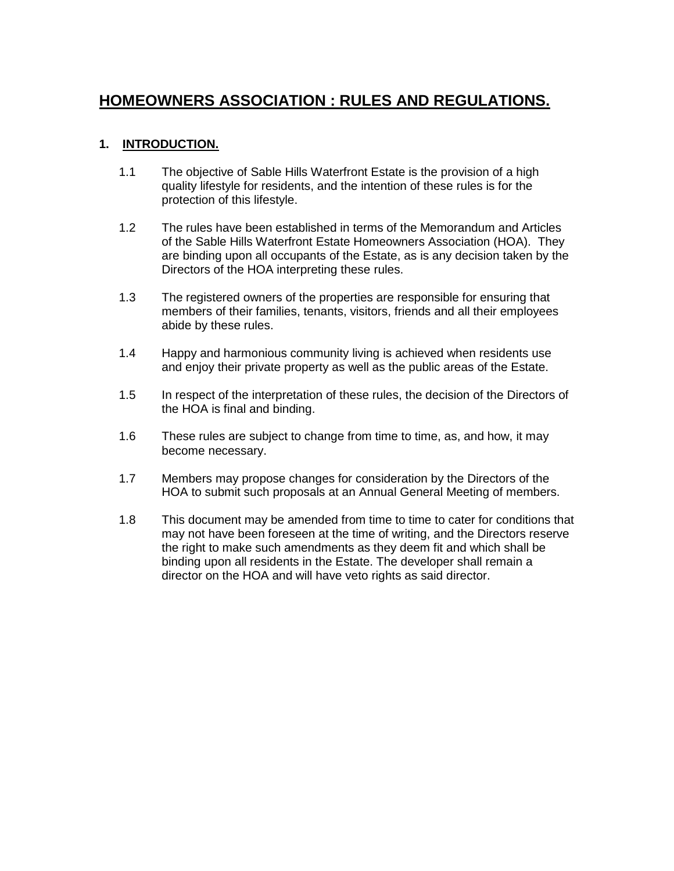# **HOMEOWNERS ASSOCIATION : RULES AND REGULATIONS.**

### **1. INTRODUCTION.**

- 1.1 The objective of Sable Hills Waterfront Estate is the provision of a high quality lifestyle for residents, and the intention of these rules is for the protection of this lifestyle.
- 1.2 The rules have been established in terms of the Memorandum and Articles of the Sable Hills Waterfront Estate Homeowners Association (HOA). They are binding upon all occupants of the Estate, as is any decision taken by the Directors of the HOA interpreting these rules.
- 1.3 The registered owners of the properties are responsible for ensuring that members of their families, tenants, visitors, friends and all their employees abide by these rules.
- 1.4 Happy and harmonious community living is achieved when residents use and enjoy their private property as well as the public areas of the Estate.
- 1.5 In respect of the interpretation of these rules, the decision of the Directors of the HOA is final and binding.
- 1.6 These rules are subject to change from time to time, as, and how, it may become necessary.
- 1.7 Members may propose changes for consideration by the Directors of the HOA to submit such proposals at an Annual General Meeting of members.
- 1.8 This document may be amended from time to time to cater for conditions that may not have been foreseen at the time of writing, and the Directors reserve the right to make such amendments as they deem fit and which shall be binding upon all residents in the Estate. The developer shall remain a director on the HOA and will have veto rights as said director.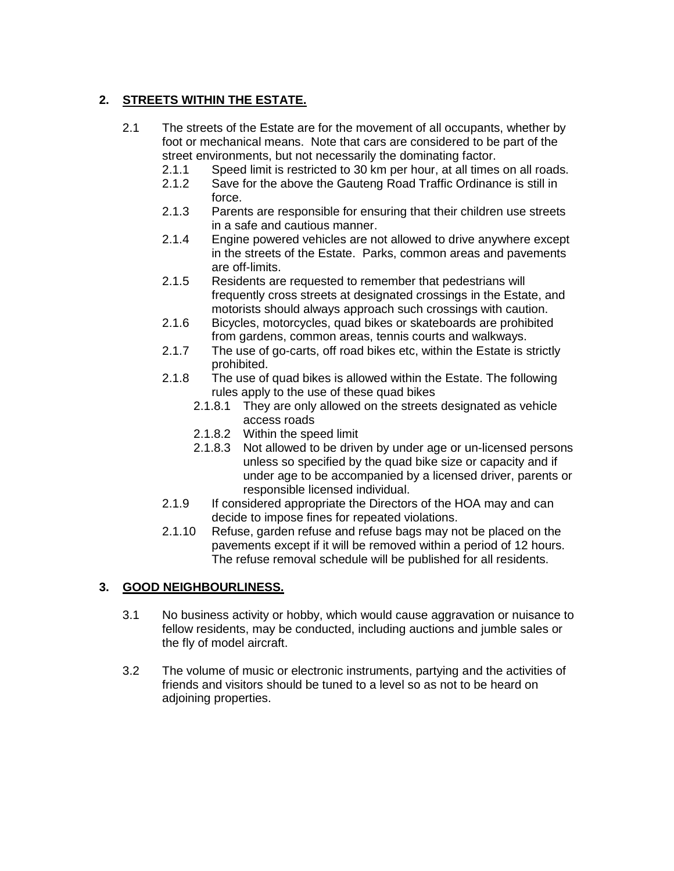## **2. STREETS WITHIN THE ESTATE.**

- 2.1 The streets of the Estate are for the movement of all occupants, whether by foot or mechanical means. Note that cars are considered to be part of the street environments, but not necessarily the dominating factor.
	- 2.1.1 Speed limit is restricted to 30 km per hour, at all times on all roads.
	- 2.1.2 Save for the above the Gauteng Road Traffic Ordinance is still in force.
	- 2.1.3 Parents are responsible for ensuring that their children use streets in a safe and cautious manner.
	- 2.1.4 Engine powered vehicles are not allowed to drive anywhere except in the streets of the Estate. Parks, common areas and pavements are off-limits.
	- 2.1.5 Residents are requested to remember that pedestrians will frequently cross streets at designated crossings in the Estate, and motorists should always approach such crossings with caution.
	- 2.1.6 Bicycles, motorcycles, quad bikes or skateboards are prohibited from gardens, common areas, tennis courts and walkways.
	- 2.1.7 The use of go-carts, off road bikes etc, within the Estate is strictly prohibited.
	- 2.1.8 The use of quad bikes is allowed within the Estate. The following rules apply to the use of these quad bikes
		- 2.1.8.1 They are only allowed on the streets designated as vehicle access roads
		- 2.1.8.2 Within the speed limit
		- 2.1.8.3 Not allowed to be driven by under age or un-licensed persons unless so specified by the quad bike size or capacity and if under age to be accompanied by a licensed driver, parents or responsible licensed individual.
	- 2.1.9 If considered appropriate the Directors of the HOA may and can decide to impose fines for repeated violations.
	- 2.1.10 Refuse, garden refuse and refuse bags may not be placed on the pavements except if it will be removed within a period of 12 hours. The refuse removal schedule will be published for all residents.

### **3. GOOD NEIGHBOURLINESS.**

- 3.1 No business activity or hobby, which would cause aggravation or nuisance to fellow residents, may be conducted, including auctions and jumble sales or the fly of model aircraft.
- 3.2 The volume of music or electronic instruments, partying and the activities of friends and visitors should be tuned to a level so as not to be heard on adjoining properties.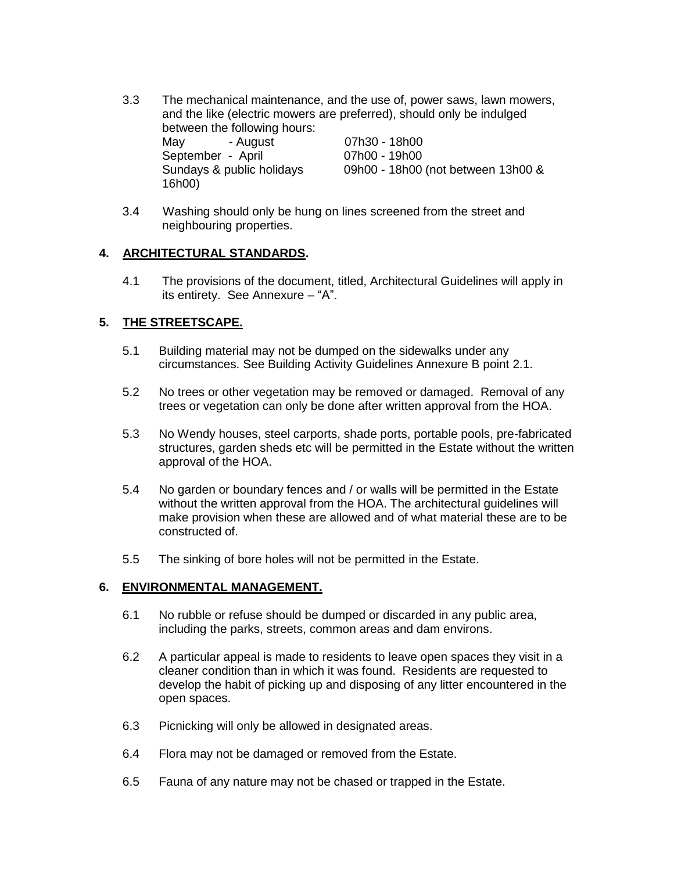- 3.3 The mechanical maintenance, and the use of, power saws, lawn mowers, and the like (electric mowers are preferred), should only be indulged between the following hours: May - August 07h30 - 18h00 September - April 07h00 - 19h00 Sundays & public holidays 09h00 - 18h00 (not between 13h00 & 16h00)
- 3.4 Washing should only be hung on lines screened from the street and neighbouring properties.

#### **4. ARCHITECTURAL STANDARDS.**

4.1 The provisions of the document, titled, Architectural Guidelines will apply in its entirety. See Annexure – "A".

#### **5. THE STREETSCAPE.**

- 5.1 Building material may not be dumped on the sidewalks under any circumstances. See Building Activity Guidelines Annexure B point 2.1.
- 5.2 No trees or other vegetation may be removed or damaged. Removal of any trees or vegetation can only be done after written approval from the HOA.
- 5.3 No Wendy houses, steel carports, shade ports, portable pools, pre-fabricated structures, garden sheds etc will be permitted in the Estate without the written approval of the HOA.
- 5.4 No garden or boundary fences and / or walls will be permitted in the Estate without the written approval from the HOA. The architectural guidelines will make provision when these are allowed and of what material these are to be constructed of.
- 5.5 The sinking of bore holes will not be permitted in the Estate.

#### **6. ENVIRONMENTAL MANAGEMENT.**

- 6.1 No rubble or refuse should be dumped or discarded in any public area, including the parks, streets, common areas and dam environs.
- 6.2 A particular appeal is made to residents to leave open spaces they visit in a cleaner condition than in which it was found. Residents are requested to develop the habit of picking up and disposing of any litter encountered in the open spaces.
- 6.3 Picnicking will only be allowed in designated areas.
- 6.4 Flora may not be damaged or removed from the Estate.
- 6.5 Fauna of any nature may not be chased or trapped in the Estate.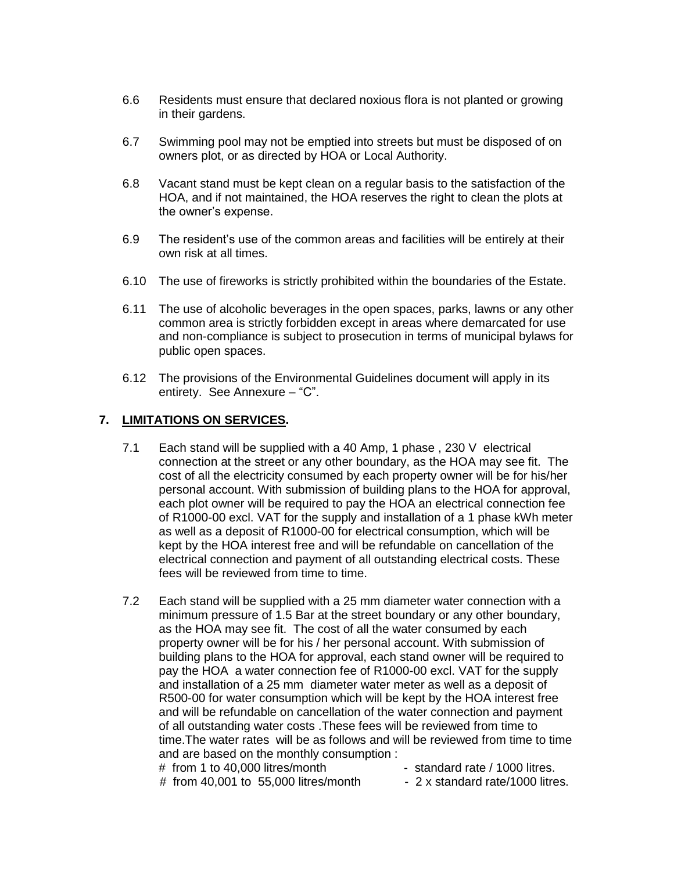- 6.6 Residents must ensure that declared noxious flora is not planted or growing in their gardens.
- 6.7 Swimming pool may not be emptied into streets but must be disposed of on owners plot, or as directed by HOA or Local Authority.
- 6.8 Vacant stand must be kept clean on a regular basis to the satisfaction of the HOA, and if not maintained, the HOA reserves the right to clean the plots at the owner's expense.
- 6.9 The resident's use of the common areas and facilities will be entirely at their own risk at all times.
- 6.10 The use of fireworks is strictly prohibited within the boundaries of the Estate.
- 6.11 The use of alcoholic beverages in the open spaces, parks, lawns or any other common area is strictly forbidden except in areas where demarcated for use and non-compliance is subject to prosecution in terms of municipal bylaws for public open spaces.
- 6.12 The provisions of the Environmental Guidelines document will apply in its entirety. See Annexure – "C".

### **7. LIMITATIONS ON SERVICES.**

- 7.1 Each stand will be supplied with a 40 Amp, 1 phase , 230 V electrical connection at the street or any other boundary, as the HOA may see fit. The cost of all the electricity consumed by each property owner will be for his/her personal account. With submission of building plans to the HOA for approval, each plot owner will be required to pay the HOA an electrical connection fee of R1000-00 excl. VAT for the supply and installation of a 1 phase kWh meter as well as a deposit of R1000-00 for electrical consumption, which will be kept by the HOA interest free and will be refundable on cancellation of the electrical connection and payment of all outstanding electrical costs. These fees will be reviewed from time to time.
- 7.2 Each stand will be supplied with a 25 mm diameter water connection with a minimum pressure of 1.5 Bar at the street boundary or any other boundary, as the HOA may see fit. The cost of all the water consumed by each property owner will be for his / her personal account. With submission of building plans to the HOA for approval, each stand owner will be required to pay the HOA a water connection fee of R1000-00 excl. VAT for the supply and installation of a 25 mm diameter water meter as well as a deposit of R500-00 for water consumption which will be kept by the HOA interest free and will be refundable on cancellation of the water connection and payment of all outstanding water costs .These fees will be reviewed from time to time.The water rates will be as follows and will be reviewed from time to time and are based on the monthly consumption :
	- # from 1 to 40,000 litres/month standard rate / 1000 litres.
- - # from 40,001 to 55,000 litres/month  $\blacksquare$  2 x standard rate/1000 litres.
-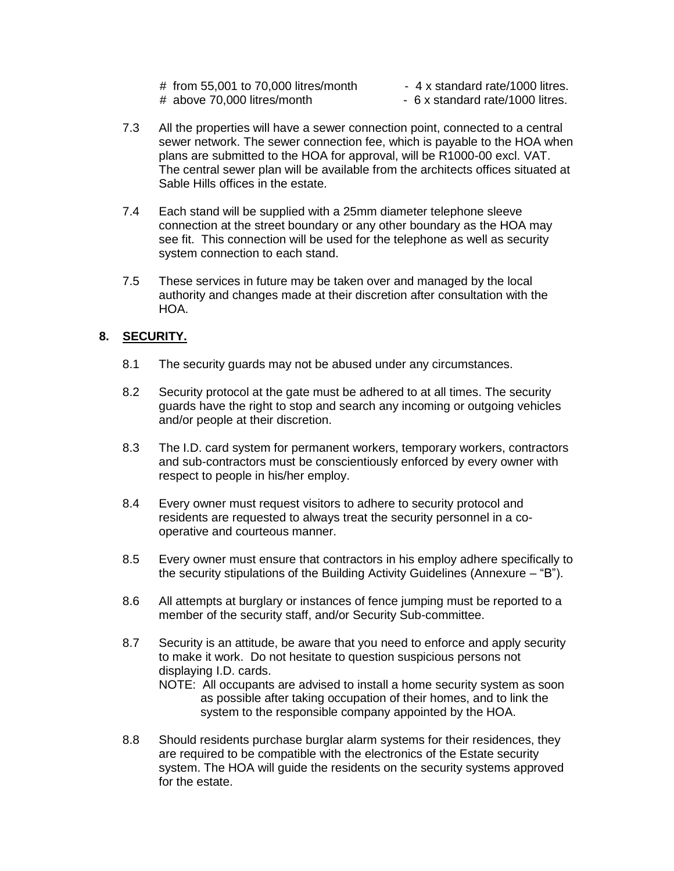- # from 55,001 to 70,000 litres/month  $\blacksquare$  4 x standard rate/1000 litres.
- 
- # above 70,000 litres/month 6 x standard rate/1000 litres.
- 7.3 All the properties will have a sewer connection point, connected to a central sewer network. The sewer connection fee, which is payable to the HOA when plans are submitted to the HOA for approval, will be R1000-00 excl. VAT. The central sewer plan will be available from the architects offices situated at Sable Hills offices in the estate.
- 7.4 Each stand will be supplied with a 25mm diameter telephone sleeve connection at the street boundary or any other boundary as the HOA may see fit. This connection will be used for the telephone as well as security system connection to each stand.
- 7.5 These services in future may be taken over and managed by the local authority and changes made at their discretion after consultation with the HOA.

### **8. SECURITY.**

- 8.1 The security guards may not be abused under any circumstances.
- 8.2 Security protocol at the gate must be adhered to at all times. The security guards have the right to stop and search any incoming or outgoing vehicles and/or people at their discretion.
- 8.3 The I.D. card system for permanent workers, temporary workers, contractors and sub-contractors must be conscientiously enforced by every owner with respect to people in his/her employ.
- 8.4 Every owner must request visitors to adhere to security protocol and residents are requested to always treat the security personnel in a cooperative and courteous manner.
- 8.5 Every owner must ensure that contractors in his employ adhere specifically to the security stipulations of the Building Activity Guidelines (Annexure – "B").
- 8.6 All attempts at burglary or instances of fence jumping must be reported to a member of the security staff, and/or Security Sub-committee.
- 8.7 Security is an attitude, be aware that you need to enforce and apply security to make it work. Do not hesitate to question suspicious persons not displaying I.D. cards.
	- NOTE: All occupants are advised to install a home security system as soon as possible after taking occupation of their homes, and to link the system to the responsible company appointed by the HOA.
- 8.8 Should residents purchase burglar alarm systems for their residences, they are required to be compatible with the electronics of the Estate security system. The HOA will guide the residents on the security systems approved for the estate.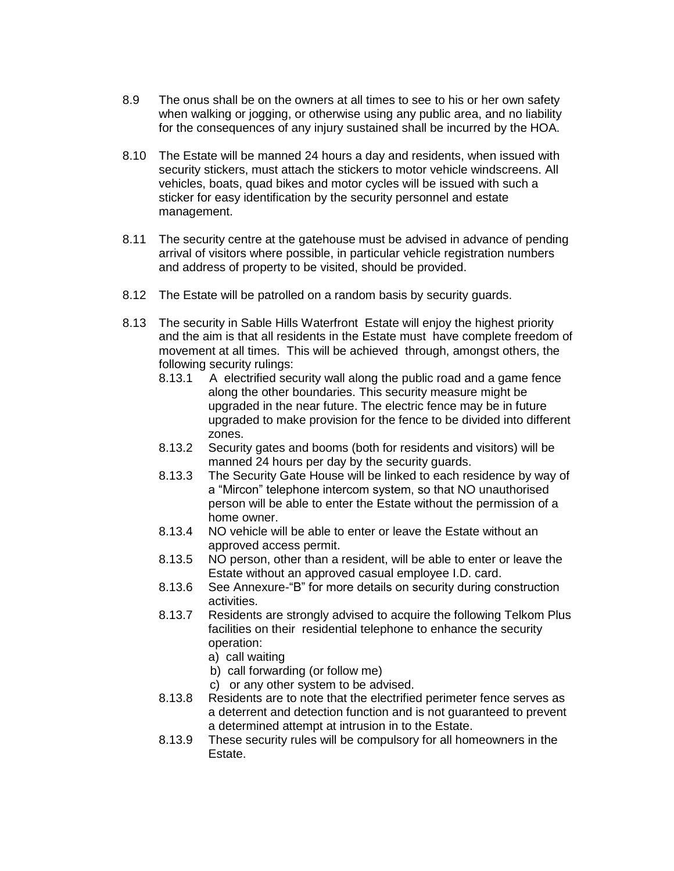- 8.9 The onus shall be on the owners at all times to see to his or her own safety when walking or jogging, or otherwise using any public area, and no liability for the consequences of any injury sustained shall be incurred by the HOA.
- 8.10 The Estate will be manned 24 hours a day and residents, when issued with security stickers, must attach the stickers to motor vehicle windscreens. All vehicles, boats, quad bikes and motor cycles will be issued with such a sticker for easy identification by the security personnel and estate management.
- 8.11 The security centre at the gatehouse must be advised in advance of pending arrival of visitors where possible, in particular vehicle registration numbers and address of property to be visited, should be provided.
- 8.12 The Estate will be patrolled on a random basis by security guards.
- 8.13 The security in Sable Hills Waterfront Estate will enjoy the highest priority and the aim is that all residents in the Estate must have complete freedom of movement at all times. This will be achieved through, amongst others, the following security rulings:
	- 8.13.1 A electrified security wall along the public road and a game fence along the other boundaries. This security measure might be upgraded in the near future. The electric fence may be in future upgraded to make provision for the fence to be divided into different zones.
	- 8.13.2 Security gates and booms (both for residents and visitors) will be manned 24 hours per day by the security guards.
	- 8.13.3 The Security Gate House will be linked to each residence by way of a "Mircon" telephone intercom system, so that NO unauthorised person will be able to enter the Estate without the permission of a home owner.
	- 8.13.4 NO vehicle will be able to enter or leave the Estate without an approved access permit.
	- 8.13.5 NO person, other than a resident, will be able to enter or leave the Estate without an approved casual employee I.D. card.
	- 8.13.6 See Annexure-"B" for more details on security during construction activities.
	- 8.13.7 Residents are strongly advised to acquire the following Telkom Plus facilities on their residential telephone to enhance the security operation:
		- a) call waiting
		- b) call forwarding (or follow me)
		- c) or any other system to be advised.
	- 8.13.8 Residents are to note that the electrified perimeter fence serves as a deterrent and detection function and is not guaranteed to prevent a determined attempt at intrusion in to the Estate.
	- 8.13.9 These security rules will be compulsory for all homeowners in the Estate.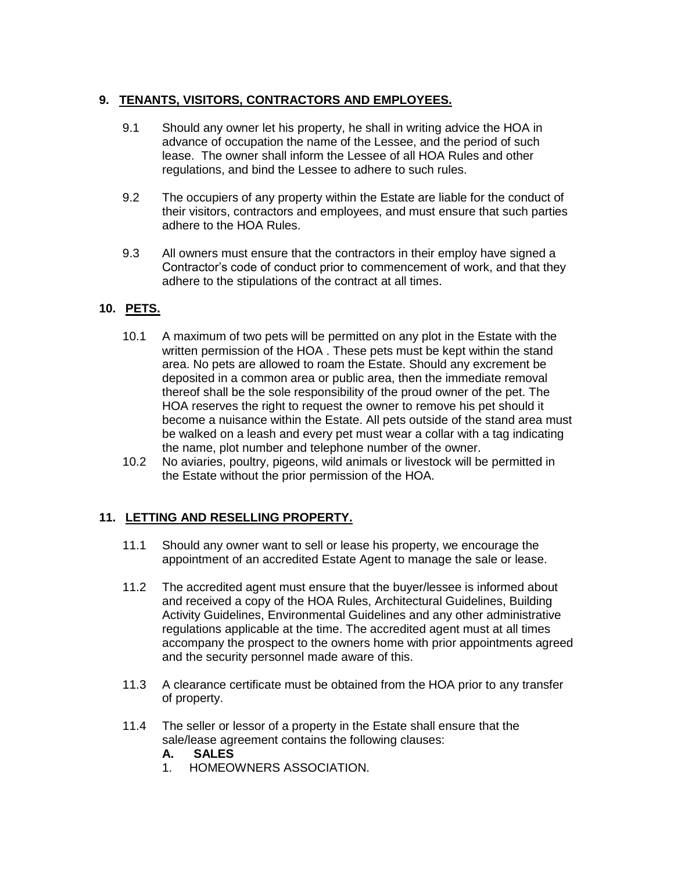### **9. TENANTS, VISITORS, CONTRACTORS AND EMPLOYEES.**

- 9.1 Should any owner let his property, he shall in writing advice the HOA in advance of occupation the name of the Lessee, and the period of such lease. The owner shall inform the Lessee of all HOA Rules and other regulations, and bind the Lessee to adhere to such rules.
- 9.2 The occupiers of any property within the Estate are liable for the conduct of their visitors, contractors and employees, and must ensure that such parties adhere to the HOA Rules.
- 9.3 All owners must ensure that the contractors in their employ have signed a Contractor's code of conduct prior to commencement of work, and that they adhere to the stipulations of the contract at all times.

### **10. PETS.**

- 10.1 A maximum of two pets will be permitted on any plot in the Estate with the written permission of the HOA . These pets must be kept within the stand area. No pets are allowed to roam the Estate. Should any excrement be deposited in a common area or public area, then the immediate removal thereof shall be the sole responsibility of the proud owner of the pet. The HOA reserves the right to request the owner to remove his pet should it become a nuisance within the Estate. All pets outside of the stand area must be walked on a leash and every pet must wear a collar with a tag indicating the name, plot number and telephone number of the owner.
- 10.2 No aviaries, poultry, pigeons, wild animals or livestock will be permitted in the Estate without the prior permission of the HOA.

### **11. LETTING AND RESELLING PROPERTY.**

- 11.1 Should any owner want to sell or lease his property, we encourage the appointment of an accredited Estate Agent to manage the sale or lease.
- 11.2 The accredited agent must ensure that the buyer/lessee is informed about and received a copy of the HOA Rules, Architectural Guidelines, Building Activity Guidelines, Environmental Guidelines and any other administrative regulations applicable at the time. The accredited agent must at all times accompany the prospect to the owners home with prior appointments agreed and the security personnel made aware of this.
- 11.3 A clearance certificate must be obtained from the HOA prior to any transfer of property.
- 11.4 The seller or lessor of a property in the Estate shall ensure that the sale/lease agreement contains the following clauses:

#### **A. SALES**

1. HOMEOWNERS ASSOCIATION.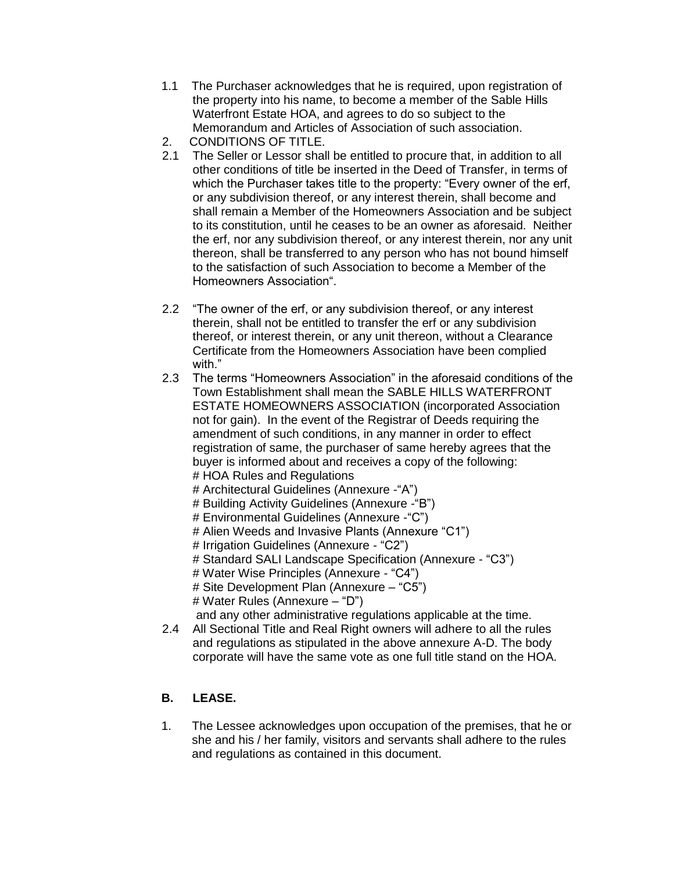- 1.1 The Purchaser acknowledges that he is required, upon registration of the property into his name, to become a member of the Sable Hills Waterfront Estate HOA, and agrees to do so subject to the Memorandum and Articles of Association of such association.
- 2. CONDITIONS OF TITLE.
- 2.1 The Seller or Lessor shall be entitled to procure that, in addition to all other conditions of title be inserted in the Deed of Transfer, in terms of which the Purchaser takes title to the property: "Every owner of the erf, or any subdivision thereof, or any interest therein, shall become and shall remain a Member of the Homeowners Association and be subject to its constitution, until he ceases to be an owner as aforesaid. Neither the erf, nor any subdivision thereof, or any interest therein, nor any unit thereon, shall be transferred to any person who has not bound himself to the satisfaction of such Association to become a Member of the Homeowners Association".
- 2.2 "The owner of the erf, or any subdivision thereof, or any interest therein, shall not be entitled to transfer the erf or any subdivision thereof, or interest therein, or any unit thereon, without a Clearance Certificate from the Homeowners Association have been complied with."
- 2.3 The terms "Homeowners Association" in the aforesaid conditions of the Town Establishment shall mean the SABLE HILLS WATERFRONT ESTATE HOMEOWNERS ASSOCIATION (incorporated Association not for gain). In the event of the Registrar of Deeds requiring the amendment of such conditions, in any manner in order to effect registration of same, the purchaser of same hereby agrees that the buyer is informed about and receives a copy of the following: # HOA Rules and Regulations
	- # Architectural Guidelines (Annexure -"A")
	- # Building Activity Guidelines (Annexure -"B")
	- # Environmental Guidelines (Annexure -"C")
	- # Alien Weeds and Invasive Plants (Annexure "C1")
	- # Irrigation Guidelines (Annexure "C2")
	- # Standard SALI Landscape Specification (Annexure "C3")
	- # Water Wise Principles (Annexure "C4")
	- # Site Development Plan (Annexure "C5")
	- # Water Rules (Annexure "D")
	- and any other administrative regulations applicable at the time.
- 2.4 All Sectional Title and Real Right owners will adhere to all the rules and regulations as stipulated in the above annexure A-D. The body corporate will have the same vote as one full title stand on the HOA.

### **B. LEASE.**

1. The Lessee acknowledges upon occupation of the premises, that he or she and his / her family, visitors and servants shall adhere to the rules and regulations as contained in this document.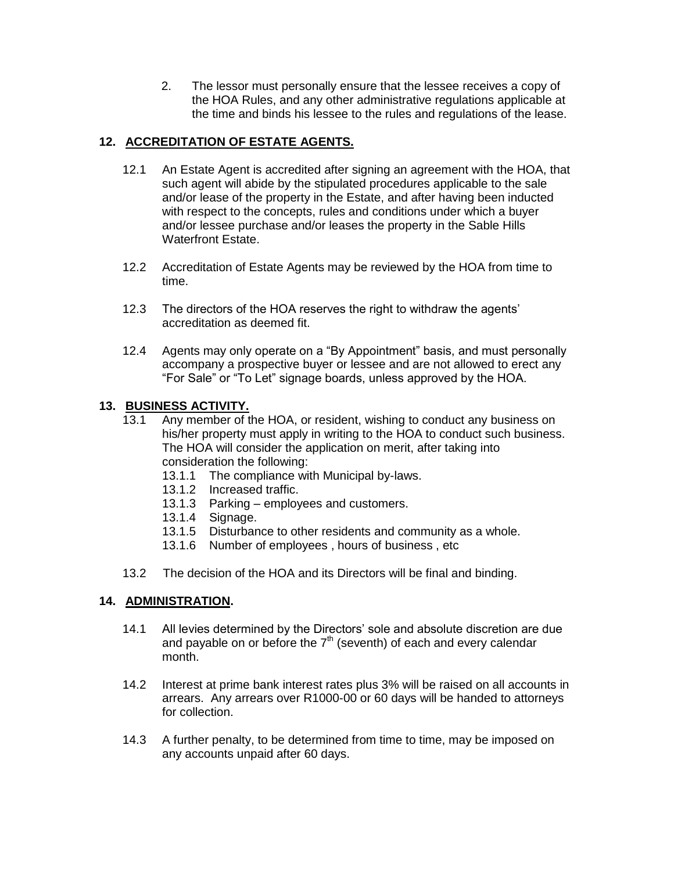2. The lessor must personally ensure that the lessee receives a copy of the HOA Rules, and any other administrative regulations applicable at the time and binds his lessee to the rules and regulations of the lease.

### **12. ACCREDITATION OF ESTATE AGENTS.**

- 12.1 An Estate Agent is accredited after signing an agreement with the HOA, that such agent will abide by the stipulated procedures applicable to the sale and/or lease of the property in the Estate, and after having been inducted with respect to the concepts, rules and conditions under which a buyer and/or lessee purchase and/or leases the property in the Sable Hills Waterfront Estate.
- 12.2 Accreditation of Estate Agents may be reviewed by the HOA from time to time.
- 12.3 The directors of the HOA reserves the right to withdraw the agents' accreditation as deemed fit.
- 12.4 Agents may only operate on a "By Appointment" basis, and must personally accompany a prospective buyer or lessee and are not allowed to erect any "For Sale" or "To Let" signage boards, unless approved by the HOA.

### **13. BUSINESS ACTIVITY.**

- 13.1 Any member of the HOA, or resident, wishing to conduct any business on his/her property must apply in writing to the HOA to conduct such business. The HOA will consider the application on merit, after taking into consideration the following:
	- 13.1.1 The compliance with Municipal by-laws.
	- 13.1.2 Increased traffic.
	- 13.1.3 Parking employees and customers.
	- 13.1.4 Signage.
	- 13.1.5 Disturbance to other residents and community as a whole.
	- 13.1.6 Number of employees , hours of business , etc
- 13.2 The decision of the HOA and its Directors will be final and binding.

#### **14. ADMINISTRATION.**

- 14.1 All levies determined by the Directors' sole and absolute discretion are due and payable on or before the  $7<sup>th</sup>$  (seventh) of each and every calendar month.
- 14.2 Interest at prime bank interest rates plus 3% will be raised on all accounts in arrears. Any arrears over R1000-00 or 60 days will be handed to attorneys for collection.
- 14.3 A further penalty, to be determined from time to time, may be imposed on any accounts unpaid after 60 days.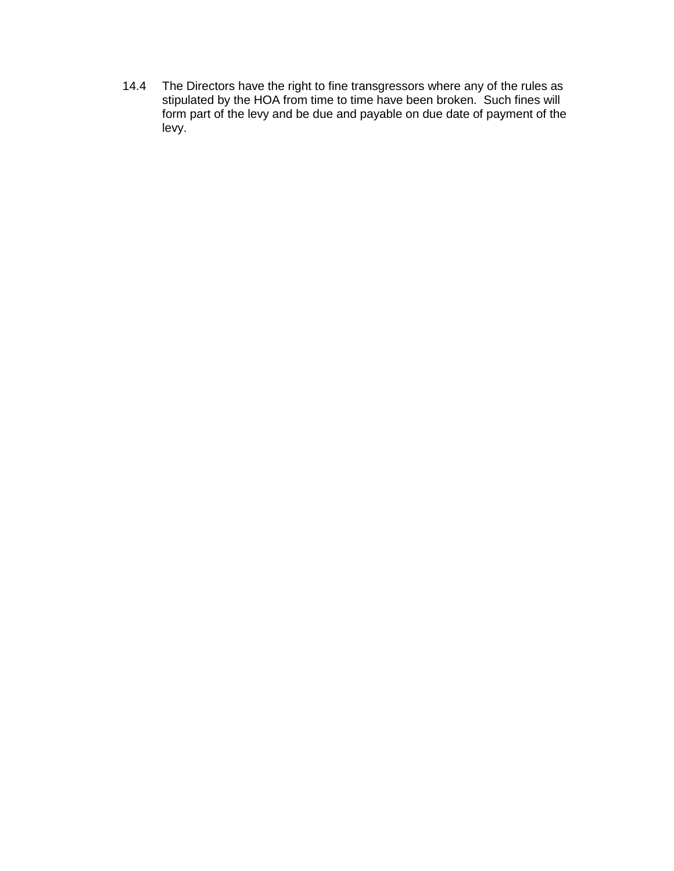14.4 The Directors have the right to fine transgressors where any of the rules as stipulated by the HOA from time to time have been broken. Such fines will form part of the levy and be due and payable on due date of payment of the levy.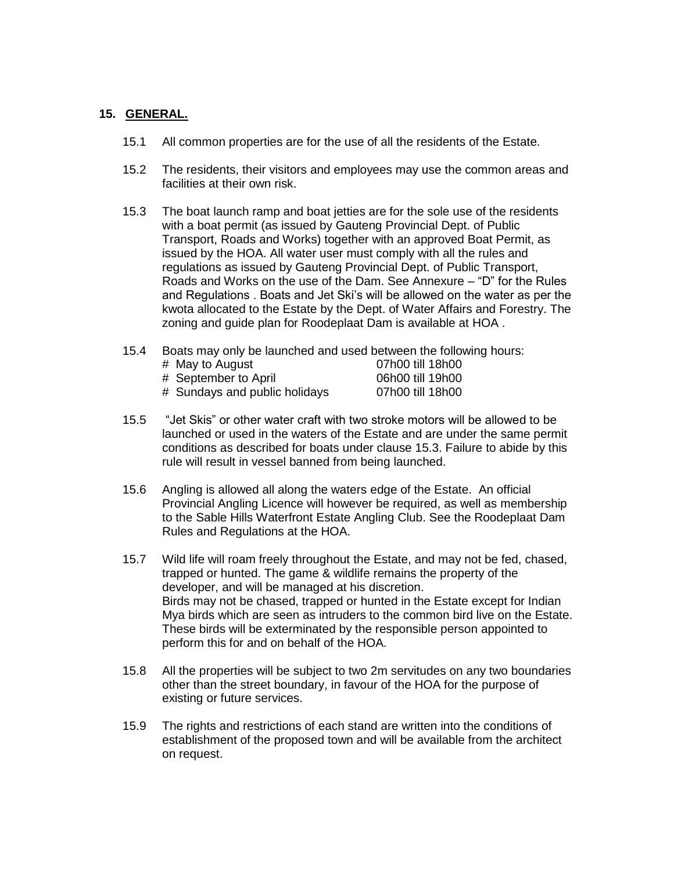#### **15. GENERAL.**

- 15.1 All common properties are for the use of all the residents of the Estate.
- 15.2 The residents, their visitors and employees may use the common areas and facilities at their own risk.
- 15.3 The boat launch ramp and boat jetties are for the sole use of the residents with a boat permit (as issued by Gauteng Provincial Dept. of Public Transport, Roads and Works) together with an approved Boat Permit, as issued by the HOA. All water user must comply with all the rules and regulations as issued by Gauteng Provincial Dept. of Public Transport, Roads and Works on the use of the Dam. See Annexure – "D" for the Rules and Regulations . Boats and Jet Ski's will be allowed on the water as per the kwota allocated to the Estate by the Dept. of Water Affairs and Forestry. The zoning and guide plan for Roodeplaat Dam is available at HOA .
- 15.4 Boats may only be launched and used between the following hours:

| # May to August               | 07h00 till 18h00 |
|-------------------------------|------------------|
| # September to April          | 06h00 till 19h00 |
| # Sundays and public holidays | 07h00 till 18h00 |

- 15.5 "Jet Skis" or other water craft with two stroke motors will be allowed to be launched or used in the waters of the Estate and are under the same permit conditions as described for boats under clause 15.3. Failure to abide by this rule will result in vessel banned from being launched.
- 15.6 Angling is allowed all along the waters edge of the Estate. An official Provincial Angling Licence will however be required, as well as membership to the Sable Hills Waterfront Estate Angling Club. See the Roodeplaat Dam Rules and Regulations at the HOA.
- 15.7 Wild life will roam freely throughout the Estate, and may not be fed, chased, trapped or hunted. The game & wildlife remains the property of the developer, and will be managed at his discretion. Birds may not be chased, trapped or hunted in the Estate except for Indian Mya birds which are seen as intruders to the common bird live on the Estate. These birds will be exterminated by the responsible person appointed to perform this for and on behalf of the HOA.
- 15.8 All the properties will be subject to two 2m servitudes on any two boundaries other than the street boundary, in favour of the HOA for the purpose of existing or future services.
- 15.9 The rights and restrictions of each stand are written into the conditions of establishment of the proposed town and will be available from the architect on request.